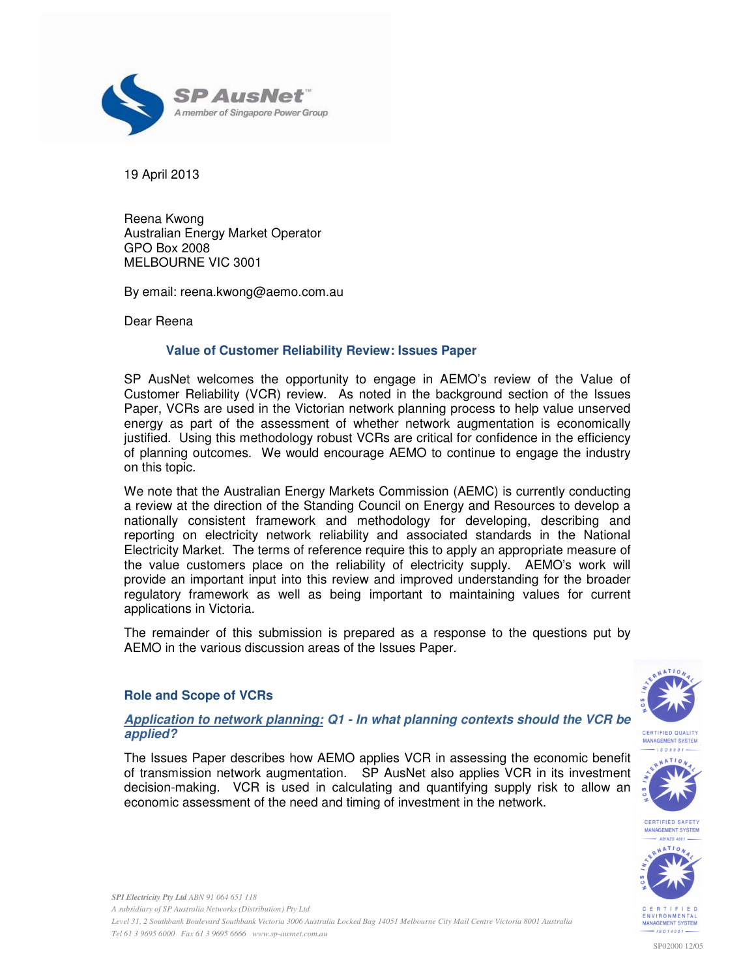

19 April 2013

Reena Kwong Australian Energy Market Operator GPO Box 2008 MELBOURNE VIC 3001

By email: reena.kwong@aemo.com.au

Dear Reena

# **Value of Customer Reliability Review: Issues Paper**

SP AusNet welcomes the opportunity to engage in AEMO's review of the Value of Customer Reliability (VCR) review. As noted in the background section of the Issues Paper, VCRs are used in the Victorian network planning process to help value unserved energy as part of the assessment of whether network augmentation is economically justified. Using this methodology robust VCRs are critical for confidence in the efficiency of planning outcomes. We would encourage AEMO to continue to engage the industry on this topic.

We note that the Australian Energy Markets Commission (AEMC) is currently conducting a review at the direction of the Standing Council on Energy and Resources to develop a nationally consistent framework and methodology for developing, describing and reporting on electricity network reliability and associated standards in the National Electricity Market. The terms of reference require this to apply an appropriate measure of the value customers place on the reliability of electricity supply. AEMO's work will provide an important input into this review and improved understanding for the broader regulatory framework as well as being important to maintaining values for current applications in Victoria.

The remainder of this submission is prepared as a response to the questions put by AEMO in the various discussion areas of the Issues Paper.

# **Role and Scope of VCRs**

**applied?** 





The Issues Paper describes how AEMO applies VCR in assessing the economic benefit of transmission network augmentation. SP AusNet also applies VCR in its investment decision-making. VCR is used in calculating and quantifying supply risk to allow an economic assessment of the need and timing of investment in the network.



*SPI Electricity Pty Ltd ABN 91 064 651 118 A subsidiary of SP Australia Networks (Distribution) Pty Ltd Level 31, 2 Southbank Boulevard Southbank Victoria 3006 Australia Locked Bag 14051 Melbourne City Mail Centre Victoria 8001 Australia Tel 61 3 9695 6000 Fax 61 3 9695 6666 www.sp-ausnet.com.au*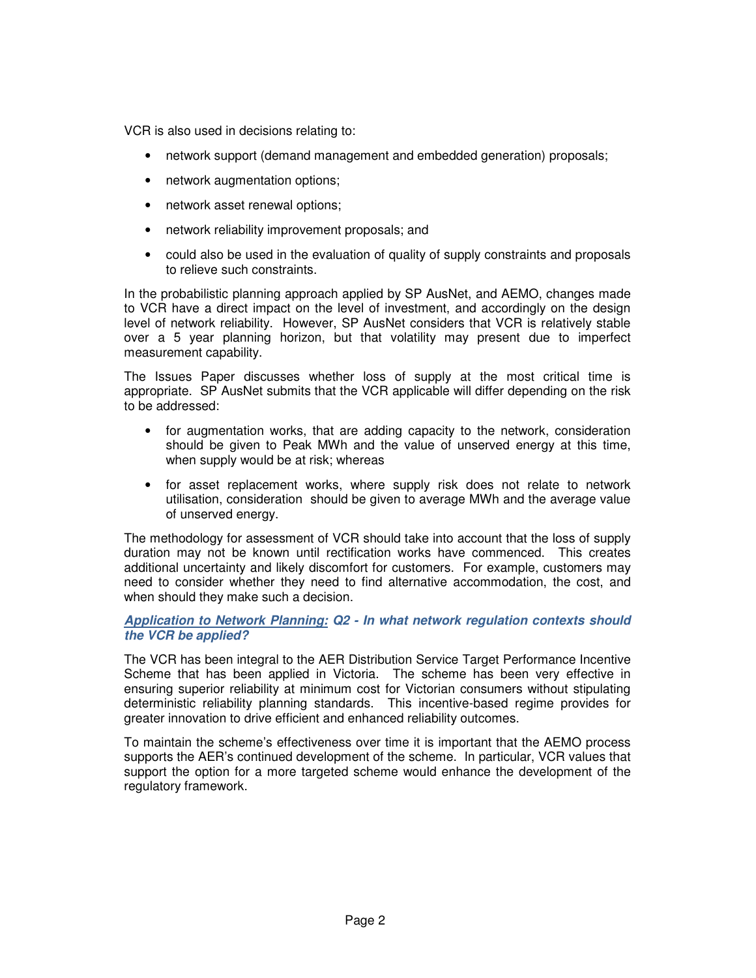VCR is also used in decisions relating to:

- network support (demand management and embedded generation) proposals;
- network augmentation options;
- network asset renewal options;
- network reliability improvement proposals; and
- could also be used in the evaluation of quality of supply constraints and proposals to relieve such constraints.

In the probabilistic planning approach applied by SP AusNet, and AEMO, changes made to VCR have a direct impact on the level of investment, and accordingly on the design level of network reliability. However, SP AusNet considers that VCR is relatively stable over a 5 year planning horizon, but that volatility may present due to imperfect measurement capability.

The Issues Paper discusses whether loss of supply at the most critical time is appropriate. SP AusNet submits that the VCR applicable will differ depending on the risk to be addressed:

- for augmentation works, that are adding capacity to the network, consideration should be given to Peak MWh and the value of unserved energy at this time, when supply would be at risk; whereas
- for asset replacement works, where supply risk does not relate to network utilisation, consideration should be given to average MWh and the average value of unserved energy.

The methodology for assessment of VCR should take into account that the loss of supply duration may not be known until rectification works have commenced. This creates additional uncertainty and likely discomfort for customers. For example, customers may need to consider whether they need to find alternative accommodation, the cost, and when should they make such a decision.

### **Application to Network Planning: Q2 - In what network regulation contexts should the VCR be applied?**

The VCR has been integral to the AER Distribution Service Target Performance Incentive Scheme that has been applied in Victoria. The scheme has been very effective in ensuring superior reliability at minimum cost for Victorian consumers without stipulating deterministic reliability planning standards. This incentive-based regime provides for greater innovation to drive efficient and enhanced reliability outcomes.

To maintain the scheme's effectiveness over time it is important that the AEMO process supports the AER's continued development of the scheme. In particular, VCR values that support the option for a more targeted scheme would enhance the development of the regulatory framework.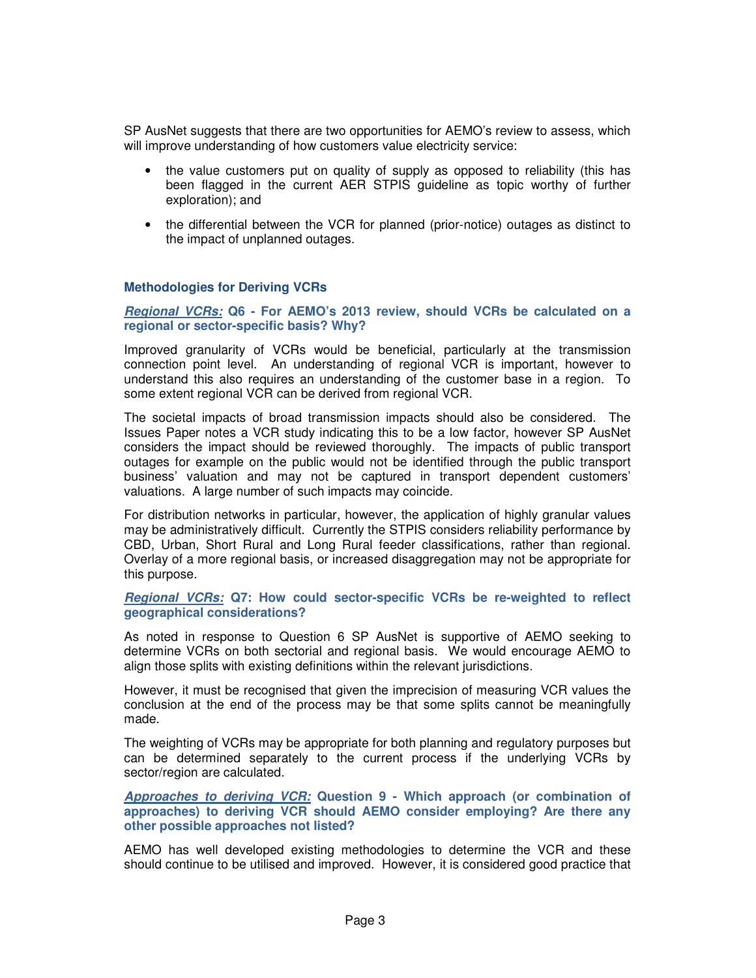SP AusNet suggests that there are two opportunities for AEMO's review to assess, which will improve understanding of how customers value electricity service:

- the value customers put on quality of supply as opposed to reliability (this has been flagged in the current AER STPIS guideline as topic worthy of further exploration); and
- the differential between the VCR for planned (prior-notice) outages as distinct to the impact of unplanned outages.

### **Methodologies for Deriving VCRs**

**Regional VCRs: Q6 - For AEMO's 2013 review, should VCRs be calculated on a regional or sector-specific basis? Why?** 

Improved granularity of VCRs would be beneficial, particularly at the transmission connection point level. An understanding of regional VCR is important, however to understand this also requires an understanding of the customer base in a region. To some extent regional VCR can be derived from regional VCR.

The societal impacts of broad transmission impacts should also be considered. The Issues Paper notes a VCR study indicating this to be a low factor, however SP AusNet considers the impact should be reviewed thoroughly. The impacts of public transport outages for example on the public would not be identified through the public transport business' valuation and may not be captured in transport dependent customers' valuations. A large number of such impacts may coincide.

For distribution networks in particular, however, the application of highly granular values may be administratively difficult. Currently the STPIS considers reliability performance by CBD, Urban, Short Rural and Long Rural feeder classifications, rather than regional. Overlay of a more regional basis, or increased disaggregation may not be appropriate for this purpose.

### **Regional VCRs: Q7: How could sector-specific VCRs be re-weighted to reflect geographical considerations?**

As noted in response to Question 6 SP AusNet is supportive of AEMO seeking to determine VCRs on both sectorial and regional basis. We would encourage AEMO to align those splits with existing definitions within the relevant jurisdictions.

However, it must be recognised that given the imprecision of measuring VCR values the conclusion at the end of the process may be that some splits cannot be meaningfully made.

The weighting of VCRs may be appropriate for both planning and regulatory purposes but can be determined separately to the current process if the underlying VCRs by sector/region are calculated.

**Approaches to deriving VCR: Question 9 - Which approach (or combination of approaches) to deriving VCR should AEMO consider employing? Are there any other possible approaches not listed?** 

AEMO has well developed existing methodologies to determine the VCR and these should continue to be utilised and improved. However, it is considered good practice that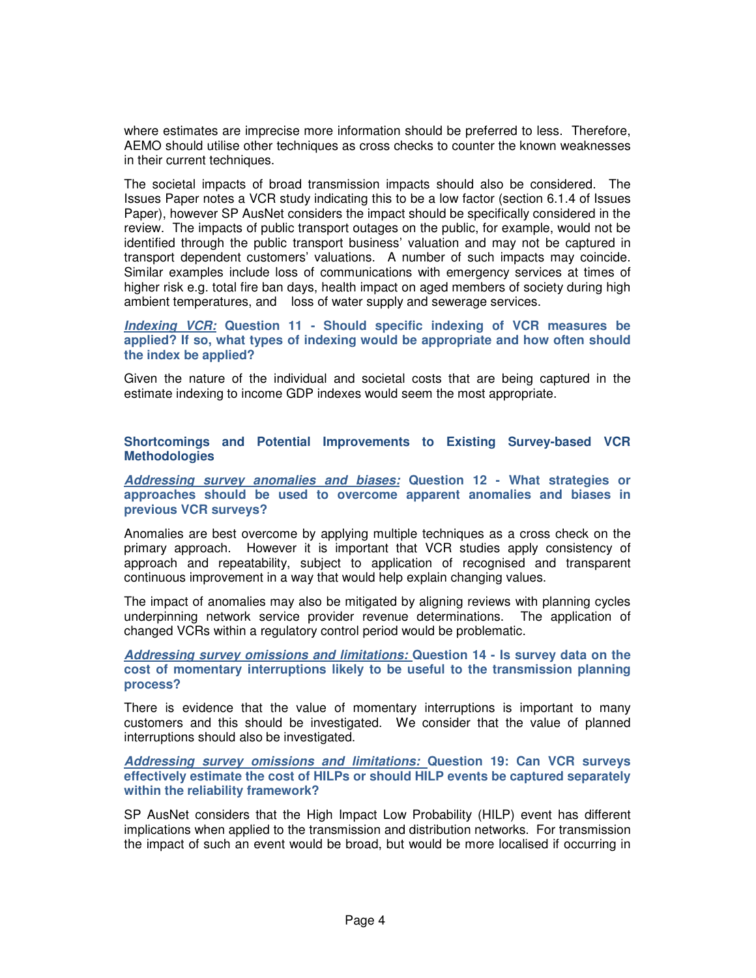where estimates are imprecise more information should be preferred to less. Therefore, AEMO should utilise other techniques as cross checks to counter the known weaknesses in their current techniques.

The societal impacts of broad transmission impacts should also be considered. The Issues Paper notes a VCR study indicating this to be a low factor (section 6.1.4 of Issues Paper), however SP AusNet considers the impact should be specifically considered in the review. The impacts of public transport outages on the public, for example, would not be identified through the public transport business' valuation and may not be captured in transport dependent customers' valuations. A number of such impacts may coincide. Similar examples include loss of communications with emergency services at times of higher risk e.g. total fire ban days, health impact on aged members of society during high ambient temperatures, and loss of water supply and sewerage services.

**Indexing VCR: Question 11 - Should specific indexing of VCR measures be applied? If so, what types of indexing would be appropriate and how often should the index be applied?** 

Given the nature of the individual and societal costs that are being captured in the estimate indexing to income GDP indexes would seem the most appropriate.

**Shortcomings and Potential Improvements to Existing Survey-based VCR Methodologies** 

**Addressing survey anomalies and biases: Question 12 - What strategies or approaches should be used to overcome apparent anomalies and biases in previous VCR surveys?** 

Anomalies are best overcome by applying multiple techniques as a cross check on the primary approach. However it is important that VCR studies apply consistency of approach and repeatability, subject to application of recognised and transparent continuous improvement in a way that would help explain changing values.

The impact of anomalies may also be mitigated by aligning reviews with planning cycles underpinning network service provider revenue determinations. The application of changed VCRs within a regulatory control period would be problematic.

**Addressing survey omissions and limitations: Question 14 - Is survey data on the cost of momentary interruptions likely to be useful to the transmission planning process?** 

There is evidence that the value of momentary interruptions is important to many customers and this should be investigated. We consider that the value of planned interruptions should also be investigated.

**Addressing survey omissions and limitations: Question 19: Can VCR surveys effectively estimate the cost of HILPs or should HILP events be captured separately within the reliability framework?** 

SP AusNet considers that the High Impact Low Probability (HILP) event has different implications when applied to the transmission and distribution networks. For transmission the impact of such an event would be broad, but would be more localised if occurring in